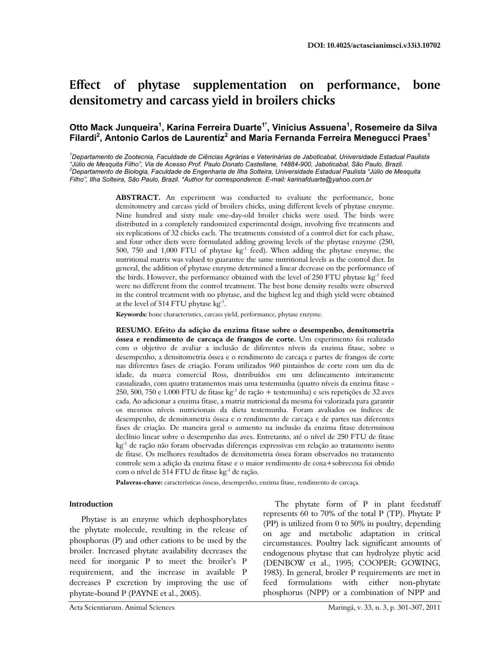# **Effect of phytase supplementation on performance, bone densitometry and carcass yield in broilers chicks**

# Otto Mack Junqueira<sup>1</sup>, Karina Ferreira Duarte<sup>1\*</sup>, Vinícius Assuena<sup>1</sup>, Rosemeire da Silva Filardi<sup>2</sup>, Antonio Carlos de Laurentiz<sup>2</sup> and Maria Fernanda Ferreira Menegucci Praes<sup>1</sup>

*1 Departamento de Zootecnia, Faculdade de Ciências Agrárias e Veterinárias de Jaboticabal, Universidade Estadual Paulista "Júlio de Mesquita Filho", Via de Acesso Prof. Paulo Donato Castellane, 14884-900, Jaboticabal, São Paulo, Brazil. 2 Departamento de Biologia, Faculdade de Engenharia de Ilha Solteira, Universidade Estadual Paulista "Júlio de Mesquita Filho", Ilha Solteira, São Paulo, Brazil. \*Author for correspondence. E-mail: karinafduarte@yahoo.com.br* 

> **ABSTRACT.** An experiment was conducted to evaluate the performance, bone densitometry and carcass yield of broilers chicks, using different levels of phytase enzyme. Nine hundred and sixty male one-day-old broiler chicks were used. The birds were distributed in a completely randomized experimental design, involving five treatments and six replications of 32 chicks each. The treatments consisted of a control diet for each phase, and four other diets were formulated adding growing levels of the phytase enzyme (250, 500, 750 and 1,000 FTU of phytase  $kg^{-1}$  feed). When adding the phytase enzyme, the nutritional matrix was valued to guarantee the same nutritional levels as the control diet. In general, the addition of phytase enzyme determined a linear decrease on the performance of the birds. However, the performance obtained with the level of 250 FTU phytase kg-1 feed were no different from the control treatment. The best bone density results were observed in the control treatment with no phytase, and the highest leg and thigh yield were obtained at the level of 514 FTU phytase kg-1.

**Keywords:** bone characteristics, carcass yield, performance, phytase enzyme.

**RESUMO. Efeito da adição da enzima fitase sobre o desempenho, densitometria óssea e rendimento de carcaça de frangos de corte.** Um experimento foi realizado com o objetivo de avaliar a inclusão de diferentes níveis da enzima fitase, sobre o desempenho, a densitometria óssea e o rendimento de carcaça e partes de frangos de corte nas diferentes fases de criação. Foram utilizados 960 pintainhos de corte com um dia de idade, da marca comercial Ross, distribuídos em um delineamento inteiramente casualizado, com quatro tratamentos mais uma testemunha (quatro níveis da enzima fitase - 250, 500, 750 e 1.000 FTU de fitase kg-1 de ração + testemunha) e seis repetições de 32 aves cada. Ao adicionar a enzima fitase, a matriz nutricional da mesma foi valorizada para garantir os mesmos níveis nutricionais da dieta testemunha. Foram avaliados os índices de desempenho, de densitometria óssea e o rendimento de carcaça e de partes nas diferentes fases de criação. De maneira geral o aumento na inclusão da enzima fitase determinou declínio linear sobre o desempenho das aves. Entretanto, até o nível de 250 FTU de fitase kg-1 de ração não foram observadas diferenças expressivas em relação ao tratamento isento de fitase. Os melhores resultados de densitometria óssea foram observados no tratamento controle sem a adição da enzima fitase e o maior rendimento de coxa+sobrecoxa foi obtido com o nível de 514 FTU de fitase kg-1 de ração.

**Palavras-chave:** características ósseas, desempenho, enzima fitase, rendimento de carcaça.

## **Introduction**

Phytase is an enzyme which dephosphorylates the phytate molecule, resulting in the release of phosphorus (P) and other cations to be used by the broiler. Increased phytate availability decreases the need for inorganic P to meet the broiler's P requirement, and the increase in available P decreases P excretion by improving the use of phytate-bound P (PAYNE et al., 2005).

The phytate form of P in plant feedstuff represents 60 to 70% of the total P (TP). Phytate P (PP) is utilized from 0 to 50% in poultry, depending on age and metabolic adaptation in critical circumstances. Poultry lack significant amounts of endogenous phytase that can hydrolyze phytic acid (DENBOW et al., 1995; COOPER; GOWING, 1983). In general, broiler P requirements are met in feed formulations with either non-phytate phosphorus (NPP) or a combination of NPP and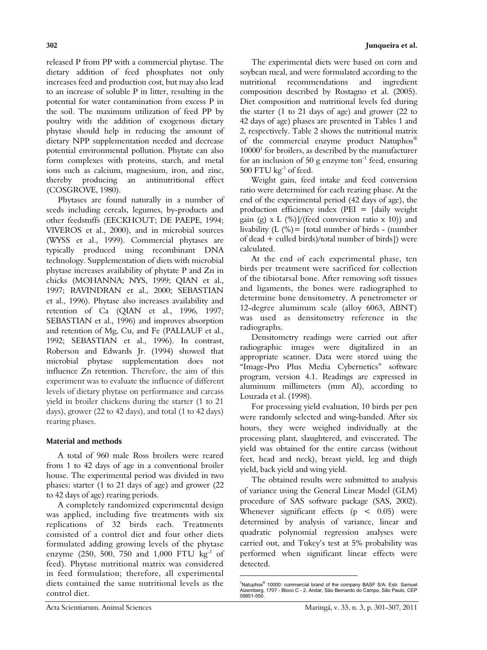released P from PP with a commercial phytase. The dietary addition of feed phosphates not only increases feed and production cost, but may also lead to an increase of soluble P in litter, resulting in the potential for water contamination from excess P in the soil. The maximum utilization of feed PP by poultry with the addition of exogenous dietary phytase should help in reducing the amount of dietary NPP supplementation needed and decrease potential environmental pollution. Phytate can also form complexes with proteins, starch, and metal ions such as calcium, magnesium, iron, and zinc, thereby producing an antinutritional effect (COSGROVE, 1980).

Phytases are found naturally in a number of seeds including cereals, legumes, by-products and other feedstuffs (EECKHOUT; DE PAEPE, 1994; VIVEROS et al., 2000), and in microbial sources (WYSS et al., 1999). Commercial phytases are typically produced using recombinant DNA technology. Supplementation of diets with microbial phytase increases availability of phytate P and Zn in chicks (MOHANNA; NYS, 1999; QIAN et al., 1997; RAVINDRAN et al., 2000; SEBASTIAN et al., 1996). Phytase also increases availability and retention of Ca (QIAN et al., 1996, 1997; SEBASTIAN et al., 1996) and improves absorption and retention of Mg, Cu, and Fe (PALLAUF et al., 1992; SEBASTIAN et al., 1996). In contrast, Roberson and Edwards Jr. (1994) showed that microbial phytase supplementation does not influence Zn retention. Therefore, the aim of this experiment was to evaluate the influence of different levels of dietary phytase on performance and carcass yield in broiler chickens during the starter (1 to 21 days), grower (22 to 42 days), and total (1 to 42 days) rearing phases.

### **Material and methods**

A total of 960 male Ross broilers were reared from 1 to 42 days of age in a conventional broiler house. The experimental period was divided in two phases: starter (1 to 21 days of age) and grower (22 to 42 days of age) rearing periods.

A completely randomized experimental design was applied, including five treatments with six replications of 32 birds each. Treatments consisted of a control diet and four other diets formulated adding growing levels of the phytase enzyme (250, 500, 750 and 1,000 FTU kg<sup>-1</sup> of feed). Phytase nutritional matrix was considered in feed formulation; therefore, all experimental diets contained the same nutritional levels as the control diet.

The experimental diets were based on corn and soybean meal, and were formulated according to the nutritional recommendations and ingredient composition described by Rostagno et al. (2005). Diet composition and nutritional levels fed during the starter (1 to 21 days of age) and grower (22 to 42 days of age) phases are presented in Tables 1 and 2, respectively. Table 2 shows the nutritional matrix of the commercial enzyme product Natuphos® 10000<sup>1</sup> for broilers, as described by the manufacturer for an inclusion of 50 g enzyme ton<sup>-1</sup> feed, ensuring 500 FTU  $kg^{-1}$  of feed.

Weight gain, feed intake and feed conversion ratio were determined for each rearing phase. At the end of the experimental period (42 days of age), the production efficiency index (PEI = [daily weight gain (g) x L  $\frac{1}{2}$  (%)]/(feed conversion ratio x 10)) and livability  $(L \binom{9}{0})$  [total number of birds - (number of dead + culled birds)/total number of birds]) were calculated.

At the end of each experimental phase, ten birds per treatment were sacrificed for collection of the tibiotarsal bone. After removing soft tissues and ligaments, the bones were radiographed to determine bone densitometry. A penetrometer or 12-degree aluminum scale (alloy 6063, ABNT) was used as densitometry reference in the radiographs.

Densitometry readings were carried out after radiographic images were digitalized in an appropriate scanner. Data were stored using the "Image-Pro Plus Media Cybernetics" software program, version 4.1. Readings are expressed in aluminum millimeters (mm Al), according to Louzada et al. (1998).

For processing yield evaluation, 10 birds per pen were randomly selected and wing-banded. After six hours, they were weighed individually at the processing plant, slaughtered, and eviscerated. The yield was obtained for the entire carcass (without feet, head and neck), breast yield, leg and thigh yield, back yield and wing yield.

The obtained results were submitted to analysis of variance using the General Linear Model (GLM) procedure of SAS software package (SAS, 2002). Whenever significant effects (p < 0.05) were determined by analysis of variance, linear and quadratic polynomial regression analyses were carried out, and Tukey's test at 5% probability was performed when significant linear effects were detected.

 $\overline{a}$ 

<sup>&</sup>lt;sup>1</sup>Natuphos® 'Natuphos<sup>®</sup> 10000: commercial brand of the company BASF S/A: Estr. Samuel<br>Aizemberg, 1707 - Bloco C - 2. Andar, São Bernardo do Campo, São Paulo, CEP<br>09851-550.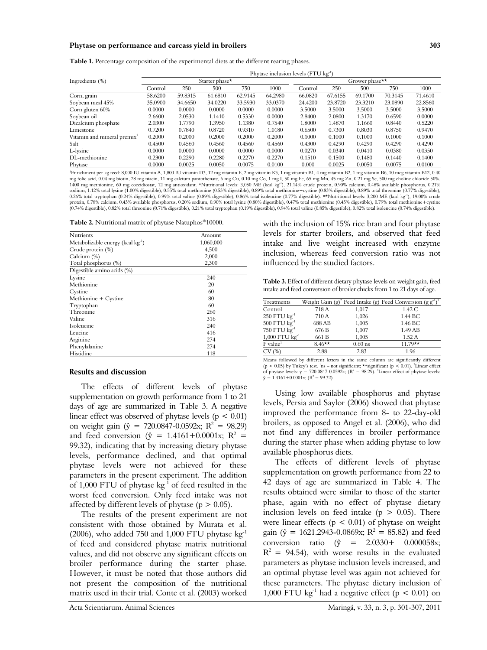#### **Phytase on performance and carcass yield in broilers 303**

**Table 1.** Percentage composition of the experimental diets at the different rearing phases.

|                                         | Phytase inclusion levels (FTU kg <sup>-1</sup> ) |         |         |         |                |         |         |         |         |         |
|-----------------------------------------|--------------------------------------------------|---------|---------|---------|----------------|---------|---------|---------|---------|---------|
| Ingredients $(\%)$                      | Starter phase*                                   |         |         |         | Grower phase** |         |         |         |         |         |
|                                         | Control                                          | 250     | 500     | 750     | 1000           | Control | 250     | 500     | 750     | 1000    |
| Corn, grain                             | 58.6200                                          | 59.8315 | 61.6810 | 62.9145 | 64.2980        | 66.0820 | 67.6155 | 69.1700 | 70.3145 | 71.4610 |
| Soybean meal 45%                        | 35.0900                                          | 34.6650 | 34.0220 | 33.5930 | 33.0370        | 24.4200 | 23.8720 | 23.3210 | 23.0890 | 22.8560 |
| Corn gluten 60%                         | 0.0000                                           | 0.0000  | 0.0000  | 0.0000  | 0.0000         | 3.5000  | 3.5000  | 3.5000  | 3.5000  | 3.5000  |
| Soybean oil                             | 2.6600                                           | 2.0530  | 1.1410  | 0.5330  | 0.0000         | 2.8400  | 2.0800  | 1.3170  | 0.6590  | 0.0000  |
| Dicalcium phosphate                     | 2.0300                                           | 1.7790  | 1.3950  | 1.1380  | 0.7540         | 1.8000  | 1.4870  | 1.1660  | 0.8440  | 0.5220  |
| Limestone                               | 0.7200                                           | 0.7840  | 0.8720  | 0.9310  | 1.0180         | 0.6500  | 0.7300  | 0.8030  | 0.8750  | 0.9470  |
| Vitamin and mineral premix <sup>1</sup> | 0.2000                                           | 0.2000  | 0.2000  | 0.2000  | 0.2000         | 0.1000  | 0.1000  | 0.1000  | 0.1000  | 0.1000  |
| Salt                                    | 0.4500                                           | 0.4560  | 0.4560  | 0.4560  | 0.4560         | 0.4300  | 0.4290  | 0.4290  | 0.4290  | 0.4290  |
| L-lysine                                | 0.0000                                           | 0.0000  | 0.0000  | 0.0000  | 0.0000         | 0.0270  | 0.0340  | 0.0410  | 0.0380  | 0.0350  |
| DL-methionine                           | 0.2300                                           | 0.2290  | 0.2280  | 0.2270  | 0.2270         | 0.1510  | 0.1500  | 0.1480  | 0.1440  | 0.1400  |
| Phytase                                 | 0.0000                                           | 0.0025  | 0.0050  | 0.0075  | 0.0100         | 0.000   | 0.0025  | 0.0050  | 0.0075  | 0.0100  |

<sup>1</sup>Enrichment per kg feed: 8,000 IU vitamin A, 1,800 IU vitamin D3, 12 mg vitamin E, 2 mg vitamin K3, 1 mg vitamin B1, 4 mg vitamin B2, 1 mg vitamin B6, 10 mcg vitamin B12, 0.40 mg folic acid, 0.04 mg biotin, 28 mg niacin, 11 mg calcium pantothenate, 6 mg Cu, 0.10 mg Co, 1 mg I, 50 mg Fe, 65 mg Mn, 45 mg Zn, 0.21 mg Se, 500 mg choline chloride 50%,<br>1400 mg methionine, 60 mg coccidiostat, 12 mg ant sodium, 1.12% total lysine (1.00% digestible), 0.55% total methionine (0.53% digestible), 0.89% iones (0.83% digestible), 0.89% total threonine (0.77% digestible), 0.26% total tryptophan (0.24% digestible), 0.99% total valine (0.89% digestible), 0.86% total isoleucine (0.77% digestible). \*\*Nutritional levels: 3,200 ME (kcal kg-1), 19.00% crude protein, 0.78% calcium, 0.43% available phosphorus, 0.20% sodium, 0.90% total lysine (0.80% digestible), 0.47% total methionine (0.45% digestible), 0.79% total methionine+cystine<br>(0.74% digestible), 0.82% total threonine (

**Table 2.** Nutritional matrix of phytase Natuphos®10000.

| Nutrients                              | Amount    |
|----------------------------------------|-----------|
| Metabolizable energy (kcal $kg^{-1}$ ) | 1,060,000 |
| Crude protein (%)                      | 4,500     |
| Calcium (%)                            | 2,000     |
| Total phosphorus (%)                   | 2,300     |
| Digestible amino acids (%)             |           |
| Lysine                                 | 240       |
| Methionine                             | 20        |
| Cystine                                | 60        |
| Methionine + Cystine                   | 80        |
| Tryptophan                             | 60        |
| Threonine                              | 260       |
| Valine                                 | 316       |
| Isolencine                             | 240       |
| Leucine                                | 416       |
| Arginine                               | 274       |
| Phenylalanine                          | 274       |
| Histidine                              | 118       |

#### **Results and discussion**

The effects of different levels of phytase supplementation on growth performance from 1 to 21 days of age are summarized in Table 3. A negative linear effect was observed of phytase levels ( $p < 0.01$ ) on weight gain ( $\hat{y} = 720.0847 - 0.0592x$ ; R<sup>2</sup> = 98.29) and feed conversion ( $\hat{y} = 1.4161 + 0.0001x$ ; R<sup>2</sup> = 99.32), indicating that by increasing dietary phytase levels, performance declined, and that optimal phytase levels were not achieved for these parameters in the present experiment. The addition of 1,000 FTU of phytase  $\text{kg}^{-1}$  of feed resulted in the worst feed conversion. Only feed intake was not affected by different levels of phytase ( $p > 0.05$ ).

The results of the present experiment are not consistent with those obtained by Murata et al. (2006), who added 750 and 1,000 FTU phytase  $kg^{-1}$ of feed and considered phytase matrix nutritional values, and did not observe any significant effects on broiler performance during the starter phase. However, it must be noted that those authors did not present the composition of the nutritional matrix used in their trial. Conte et al. (2003) worked

with the inclusion of 15% rice bran and four phytase levels for starter broilers, and observed that feed intake and live weight increased with enzyme inclusion, whereas feed conversion ratio was not influenced by the studied factors.

**Table 3.** Effect of different dietary phytase levels on weight gain, feed intake and feed conversion of broiler chicks from 1 to 21 days of age.

| Treatments                   |           |           | Weight Gain (g) <sup>2</sup> Feed Intake (g) Feed Conversion (g $g^{-1}$ ) <sup>3</sup> |
|------------------------------|-----------|-----------|-----------------------------------------------------------------------------------------|
| Control                      | 718 A     | 1.017     | 1.42C                                                                                   |
| $250$ FTU $\text{kg}^{-1}$   | 710 A     | 1,026     | 1.44 BC                                                                                 |
| $500$ FTU $\text{kg}^{-1}$   | 688 AB    | 1,005     | 1.46 BC                                                                                 |
| 750 FTU kg <sup>-1</sup>     | 676 B     | 1,007     | 1.49 AB                                                                                 |
| $1,000$ FTU $\text{kg}^{-1}$ | 661 B     | 1,005     | 1.52A                                                                                   |
| $F$ value <sup>1</sup>       | $8.46***$ | $0.60$ ns | $11.79**$                                                                               |
| CV(%)                        | 2.88      | 2.83      | 1.96                                                                                    |

Means followed by different letters in the same column are significantly different (p < 0.05) by Tukey's test. 'ns – not significant; \*\*significant (p < 0.01). <sup>2</sup>Linear effect of phytase levels: y = 720.0847-0.0592x; (R<sup>2</sup> = 98.29). <sup>3</sup>Linear effect of phytase levels:  $\hat{y} = 1.4161 + 0.0001x$ ; (R<sup>2</sup> = 99.32).

Using low available phosphorus and phytase levels, Persia and Saylor (2006) showed that phytase improved the performance from 8- to 22-day-old broilers, as opposed to Angel et al. (2006), who did not find any differences in broiler performance during the starter phase when adding phytase to low available phosphorus diets.

The effects of different levels of phytase supplementation on growth performance from 22 to 42 days of age are summarized in Table 4. The results obtained were similar to those of the starter phase, again with no effect of phytase dietary inclusion levels on feed intake ( $p > 0.05$ ). There were linear effects ( $p < 0.01$ ) of phytase on weight gain ( $\hat{y} = 1621.2943 - 0.0869x$ ;  $R^2 = 85.82$ ) and feed conversion ratio ( $\hat{y} = 2.0330 + 0.000058x$ ;  $R^2 = 94.54$ , with worse results in the evaluated parameters as phytase inclusion levels increased, and an optimal phytase level was again not achieved for these parameters. The phytase dietary inclusion of 1,000 FTU kg<sup>-1</sup> had a negative effect ( $p < 0.01$ ) on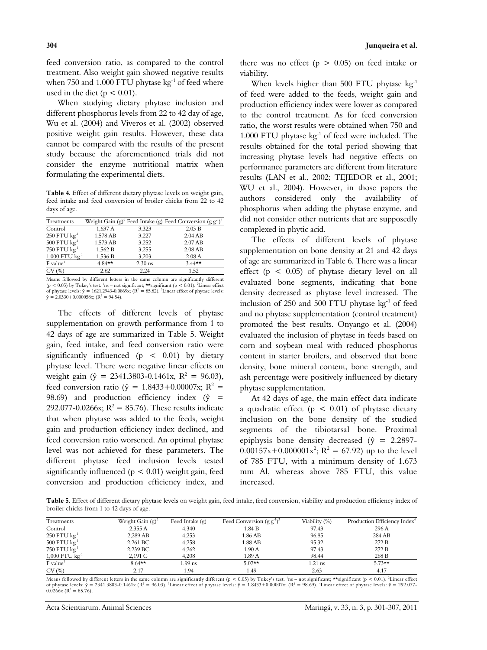feed conversion ratio, as compared to the control treatment. Also weight gain showed negative results when 750 and 1,000 FTU phytase  $kg^{-1}$  of feed where used in the diet ( $p < 0.01$ ).

When studying dietary phytase inclusion and different phosphorus levels from 22 to 42 day of age, Wu et al. (2004) and Viveros et al. (2002) observed positive weight gain results. However, these data cannot be compared with the results of the present study because the aforementioned trials did not consider the enzyme nutritional matrix when formulating the experimental diets.

**Table 4.** Effect of different dietary phytase levels on weight gain, feed intake and feed conversion of broiler chicks from 22 to 42 days of age.

| Treatments                   |           |           | Weight Gain (g) <sup>2</sup> Feed Intake (g) Feed Conversion (g $g^{-1}$ ) <sup>3</sup> |
|------------------------------|-----------|-----------|-----------------------------------------------------------------------------------------|
| Control                      | 1.637 A   | 3.323     | 2.03 B                                                                                  |
| $250$ FTU $\text{kg}^{-1}$   | 1,578 AB  | 3,227     | $2.04$ AB                                                                               |
| $500$ FTU $\text{kg}^{-1}$   | 1,573 AB  | 3,252     | 2.07 AB                                                                                 |
| 750 FTU $kg^{-1}$            | 1,562 B   | 3,255     | 2.08 AB                                                                                 |
| $1,000$ FTU $\text{kg}^{-1}$ | 1.536 B   | 3.203     | 2.08A                                                                                   |
| $F$ value <sup>1</sup>       | $4.84***$ | $2.30$ ns | $3.44***$                                                                               |
| CV(%)                        | 2.62      | 224       | 1.52                                                                                    |

Means followed by different letters in the same column are significantly different ( $p < 0.05$ ) by Tukey's test. <sup>1</sup>ns – not significant; \*\*significant ( $p < 0.01$ ). <sup>2</sup>Linear effect of phytase levels:  $\hat{y} = 1621.2943 - 0.0869x$ ; ( $R^2 = 85.82$ ). <sup>3</sup>Linear effect of phytase levels:  $\hat{y} = 2.0330 + 0.000058x$ ; (R<sup>2</sup> = 94.54).

The effects of different levels of phytase supplementation on growth performance from 1 to 42 days of age are summarized in Table 5. Weight gain, feed intake, and feed conversion ratio were significantly influenced ( $p < 0.01$ ) by dietary phytase level. There were negative linear effects on weight gain ( $\hat{y} = 2341.3803 - 0.1461x$ ,  $R^2 = 96.03$ ), feed conversion ratio ( $\hat{y} = 1.8433 + 0.00007x$ ; R<sup>2</sup> = 98.69) and production efficiency index ( $\hat{y}$  = 292.077-0.0266x;  $R^2 = 85.76$ ). These results indicate that when phytase was added to the feeds, weight gain and production efficiency index declined, and feed conversion ratio worsened. An optimal phytase level was not achieved for these parameters. The different phytase feed inclusion levels tested significantly influenced ( $p < 0.01$ ) weight gain, feed conversion and production efficiency index, and

When levels higher than 500 FTU phytase kg<sup>-1</sup> of feed were added to the feeds, weight gain and production efficiency index were lower as compared to the control treatment. As for feed conversion ratio, the worst results were obtained when 750 and 1.000 FTU phytase kg-1 of feed were included. The results obtained for the total period showing that increasing phytase levels had negative effects on performance parameters are different from literature results (LAN et al., 2002; TEJEDOR et al., 2001; WU et al., 2004). However, in those papers the authors considered only the availability of phosphorus when adding the phytase enzyme, and did not consider other nutrients that are supposedly complexed in phytic acid.

The effects of different levels of phytase supplementation on bone density at 21 and 42 days of age are summarized in Table 6. There was a linear effect ( $p < 0.05$ ) of phytase dietary level on all evaluated bone segments, indicating that bone density decreased as phytase level increased. The inclusion of 250 and 500 FTU phytase kg<sup>-1</sup> of feed and no phytase supplementation (control treatment) promoted the best results. Onyango et al. (2004) evaluated the inclusion of phytase in feeds based on corn and soybean meal with reduced phosphorus content in starter broilers, and observed that bone density, bone mineral content, bone strength, and ash percentage were positively influenced by dietary phytase supplementation.

At 42 days of age, the main effect data indicate a quadratic effect ( $p < 0.01$ ) of phytase dietary inclusion on the bone density of the studied segments of the tibiotarsal bone. Proximal epiphysis bone density decreased  $(\hat{y} = 2.2897 0.00157x+0.000001x^2$ ; R<sup>2</sup> = 67.92) up to the level of 785 FTU, with a minimum density of 1.673 mm Al, whereas above 785 FTU, this value increased.

**Table 5.** Effect of different dietary phytase levels on weight gain, feed intake, feed conversion, viability and production efficiency index of broiler chicks from 1 to 42 days of age.

| Treatments                   | Weight Gain $(g)^2$ | Feed Intake (g) | Feed Conversion $(g g^{-1})^3$ | Viability (%) | Production Efficiency Index <sup>4</sup> |
|------------------------------|---------------------|-----------------|--------------------------------|---------------|------------------------------------------|
| Control                      | 2,355 A             | 4,340           | 1.84 B                         | 97.43         | 296 A                                    |
| $250$ FTU $\text{kg}^{-1}$   | 2.289 AB            | 4,253           | 1.86 AB                        | 96.85         | 284 AB                                   |
| $500$ FTU $\text{kg}^{-1}$   | 2,261 BC            | 4,258           | 1.88 AB                        | 95,32         | 272 B                                    |
| 750 FTU $kg^{-1}$            | 2,239 BC            | 4.262           | 1.90A                          | 97.43         | 272 B                                    |
| $1,000$ FTU $\text{kg}^{-1}$ | 2.191 C             | 4.208           | 1.89A                          | 98.44         | 268 B                                    |
| F value <sup>1</sup>         | $8.64***$           | $1.99$ ns       | $5.07**$                       | 1.21 ns       | $5.73**$                                 |
| CV(%)                        | 2.17                | 1.94            | 49. ،                          | 2.63          | 4.17                                     |

Means followed by different letters in the same column are significantly different (p < 0.05) by Tukey's test. 1 ns – not significant; \*\*significant (p < 0.01). 2 Linear effect of phytase levels:  $\hat{y} = 2341.3803$ -0.1461x (R<sup>2</sup> = 96.03). <sup>3</sup>Linear effect of phytase levels:  $\hat{y} = 1.8433 + 0.00007$ x; (R<sup>2</sup> = 98.69). <sup>4</sup>Linear effect of phytase levels:  $\hat{y} = 292.077$ - $0.0266x$  (R<sup>2</sup> = 85.76).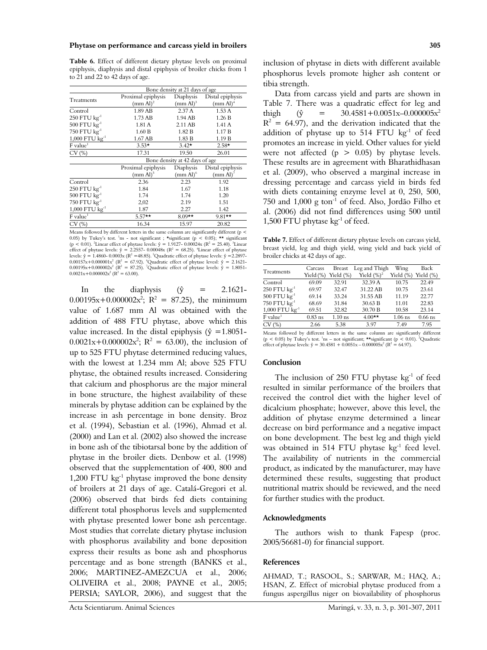#### **Phytase on performance and carcass yield in broilers 305**

**Table 6.** Effect of different dietary phytase levels on proximal epiphysis, diaphysis and distal epiphysis of broiler chicks from 1 to 21 and 22 to 42 days of age.

|                              | Bone density at 21 days of age |                      |                      |  |  |  |
|------------------------------|--------------------------------|----------------------|----------------------|--|--|--|
| Treatments                   | Proximal epiphysis             | Diaphysis            | Distal epiphysis     |  |  |  |
|                              | /mm Al) <sup>2</sup>           | /mm Al) <sup>3</sup> | (mm Al) <sup>4</sup> |  |  |  |
| Control                      | 1.89 AB                        | 2.37A                | 1.53A                |  |  |  |
| $250$ FTU $\text{kg}^{-1}$   | 1.73 AB                        | 1.94 AB              | 1.26 B               |  |  |  |
| $500$ FTU $\text{kg}^{-1}$   | 1.81 A                         | 2.11 AB              | 1.41 A               |  |  |  |
| 750 FTU kg <sup>-1</sup>     | 1.60 B                         | 1.82 B               | 1.17B                |  |  |  |
| $1,000$ FTU $\text{kg}^{-1}$ | 1.67 AB                        | 1.83 B               | 1.19B                |  |  |  |
| $F$ value <sup>1</sup>       | $3.53*$                        | $3.42*$              | $2.58*$              |  |  |  |
| CV(%)                        | 17.31                          | 19.50                | 26.01                |  |  |  |
|                              | Bone density at 42 days of age |                      |                      |  |  |  |
|                              | Proximal epiphysis             | Diaphysis            | Distal epiphysis     |  |  |  |
|                              | (mm Al) <sup>5</sup>           | $(mm \text{ Al})^6$  | (mm Al) <sup>7</sup> |  |  |  |
| Control                      | 2.36                           | 2.23                 | 1.92                 |  |  |  |
| $250$ FTU $\text{kg}^{-1}$   | 1.84                           | 1.67                 | 1.18                 |  |  |  |
| $500$ FTU $\text{kg}^{-1}$   | 1.74                           | 1.74                 | 1.20                 |  |  |  |
| 750 FTU kg <sup>-1</sup>     | 2,02                           | 2.19                 | 1.51                 |  |  |  |
| $1,000$ FTU $\text{kg}^{-1}$ | 1.87                           | 2.27                 | 1.42                 |  |  |  |
| $F$ value <sup>1</sup>       | $5.57**$                       |                      | $9.81**$             |  |  |  |
| CV(%)                        | 16.34                          | 15.97                | 20.82                |  |  |  |

Means followed by different letters in the same column are significantly different (p < 0.05) by Tukey's test. <sup>1</sup>ns - not significant ; \*significant (p < 0.05); \*\* significant (p < 0.01). <sup>2</sup>Linear effect of phytase levels:  $\hat{y} = 1.9127 - 0.00024x$  (R<sup>2</sup> = 25.40). <sup>3</sup>Linear effect of phytase levels:  $\hat{y} = 2.2557 - 0.00048x$  (R<sup>2</sup> = 68.25). <sup>4</sup>Linear effect of phytase levels:  $\hat{y} = 1.4860 - 0.0003x$  (R<sup>2</sup> = 48.85). <sup>5</sup>Quadratic effect of phytase levels:  $\hat{y} = 2.2897 0.00157x+0.000001x^2$  (R<sup>2</sup> = 67.92). <sup>6</sup>Quadratic effect of phytase levesl:  $\hat{y} = 2.1621-0.00195x+0.000002x^2$  (R<sup>2</sup> = 87.25). <sup>7</sup>Quadratic effect of phytase levels:  $\hat{y} = 1.8051 0.0021x+0.000002x^2$  (R<sup>2</sup> = 63.00).

In the diaphysis  $(\hat{y} = 2.1621 0.00195x+0.000002x^2$ ; R<sup>2</sup> = 87.25), the minimum value of 1.687 mm Al was obtained with the addition of 488 FTU phytase, above which this value increased. In the distal epiphysis ( $\hat{y} = 1.8051$ - $0.0021x+0.000002x^2$ ; R<sup>2</sup> = 63.00), the inclusion of up to 525 FTU phytase determined reducing values, with the lowest at 1.234 mm Al; above 525 FTU phytase, the obtained results increased. Considering that calcium and phosphorus are the major mineral in bone structure, the highest availability of these minerals by phytase addition can be explained by the increase in ash percentage in bone density. Broz et al. (1994), Sebastian et al. (1996), Ahmad et al. (2000) and Lan et al. (2002) also showed the increase in bone ash of the tibiotarsal bone by the addition of phytase in the broiler diets. Denbow et al. (1998) observed that the supplementation of 400, 800 and 1,200 FTU  $kg^{-1}$  phytase improved the bone density of broilers at 21 days of age. Catalá-Gregori et al. (2006) observed that birds fed diets containing different total phosphorus levels and supplemented with phytase presented lower bone ash percentage. Most studies that correlate dietary phytase inclusion with phosphorus availability and bone deposition express their results as bone ash and phosphorus percentage and as bone strength (BANKS et al., 2006; MARTINEZ-AMEZCUA et al., 2006; OLIVEIRA et al., 2008; PAYNE et al., 2005; PERSIA: SAYLOR, 2006), and suggest that the

Data from carcass yield and parts are shown in Table 7. There was a quadratic effect for leg and thigh ( $\hat{y}$  = 30.4581+0.0051x-0.000005x<sup>2</sup>  $R^2 = 64.97$ ), and the derivation indicated that the addition of phytase up to  $514$  FTU kg<sup>-1</sup> of feed promotes an increase in yield. Other values for yield were not affected ( $p > 0.05$ ) by phytase levels. These results are in agreement with Bharathidhasan et al. (2009), who observed a marginal increase in dressing percentage and carcass yield in birds fed with diets containing enzyme level at 0, 250, 500, 750 and  $1,000$  g ton<sup>-1</sup> of feed. Also, Jordão Filho et al. (2006) did not find differences using 500 until 1,500 FTU phytase kg-1 of feed.

**Table 7.** Effect of different dietary phytase levels on carcass yield, breast yield, leg and thigh yield, wing yield and back yield of broiler chicks at 42 days of age.

| Treatments                   | Carcass<br>Yield (%) | <b>Breast</b><br>Yield $(\%)$ | Leg and Thigh<br>Yield $(\%)^2$ | Wing<br>Yield (%) Yield (%) | Back      |
|------------------------------|----------------------|-------------------------------|---------------------------------|-----------------------------|-----------|
| Control                      | 69.09                | 32.91                         | 32.39 A                         | 10.75                       | 22.49     |
| $250$ FTU $\text{kg}^{-1}$   | 69.97                | 32.47                         | 31.22 AB                        | 10.75                       | 23.61     |
| $500$ FTU $\text{kg}^{-1}$   | 69.14                | 33.24                         | 31.55 AB                        | 11.19                       | 22.77     |
| 750 $FTU$ $kg^{-1}$          | 68.69                | 31.84                         | 30.63 B                         | 11.01                       | 22.83     |
| $1,000$ FTU $\text{kg}^{-1}$ | 69.51                | 32.82                         | 30.70 B                         | 10.58                       | 23.14     |
| $F$ value <sup>1</sup>       | $0.83$ ns            | $1.10$ ns                     | $4.00**$                        | $1.06$ ns                   | $0.66$ ns |
| CV(%)                        | 2.66                 | 538                           | 397                             | 749                         | 795       |

Means followed by different letters in the same column are significantly different (p < 0.05) by Tukey's test.  $\ln s$  – not significant; \*\*significant (p < 0.01). <sup>2</sup>Quadratic effect of phytase levels:  $\hat{y} = 30.4581 + 0.0051x - 0.000005x^2$  (R<sup>2</sup> = 64.97).

#### **Conclusion**

The inclusion of 250 FTU phytase  $kg<sup>-1</sup>$  of feed resulted in similar performance of the broilers that received the control diet with the higher level of dicalcium phosphate; however, above this level, the addition of phytase enzyme determined a linear decrease on bird performance and a negative impact on bone development. The best leg and thigh yield was obtained in 514 FTU phytase  $kg^{-1}$  feed level. The availability of nutrients in the commercial product, as indicated by the manufacturer, may have determined these results, suggesting that product nutritional matrix should be reviewed, and the need for further studies with the product.

#### **Acknowledgments**

The authors wish to thank Fapesp (proc. 2005/56681-0) for financial support.

#### **References**

AHMAD, T.; RASOOL, S.; SARWAR, M.; HAQ, A.; HSAN, Z. Effect of microbial phytase produced from a fungus aspergillus niger on biovailability of phosphorus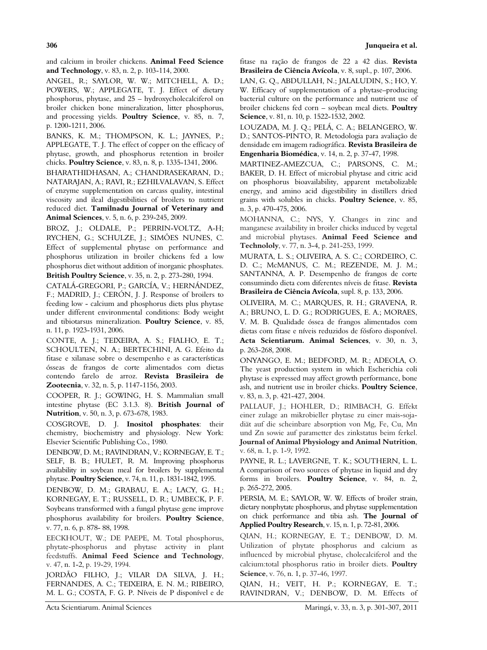and calcium in broiler chickens. **Animal Feed Science and Technology**, v. 83, n. 2, p. 103-114, 2000.

ANGEL, R.; SAYLOR, W. W.; MITCHELL, A. D.; POWERS, W.; APPLEGATE, T. J. Effect of dietary phosphorus, phytase, and 25 – hydroxycholecalciferol on broiler chicken bone mineralization, litter phosphorus, and processing yields. **Poultry Science**, v. 85, n. 7, p. 1200-1211, 2006.

BANKS, K. M.; THOMPSON, K. L.; JAYNES, P.; APPLEGATE, T. J. The effect of copper on the efficacy of phytase, growth, and phosphorus retention in broiler chicks. **Poultry Science**, v. 83, n. 8, p. 1335-1341, 2006.

BHARATHIDHASAN, A.; CHANDRASEKARAN, D.; NATARAJAN, A.; RAVI, R.; EZHILVALAVAN, S. Effect of enzyme supplementation on carcass quality, intestinal viscosity and ileal digestibilities of broilers to nutrient reduced diet. **Tamilnadu Journal of Veterinary and Animal Sciences**, v. 5, n. 6, p. 239-245, 2009.

BROZ, J.; OLDALE, P.; PERRIN-VOLTZ, A-H; RYCHEN, G.; SCHULZE, J.; SIMÕES NUNES, C. Effect of supplemental phytase on performance and phosphorus utilization in broiler chickens fed a low phosphorus diet without addition of inorganic phosphates. **British Poultry Science**, v. 35, n. 2, p. 273-280, 1994.

CATALÁ-GREGORI, P.; GARCÍA, V.; HERNÁNDEZ, F.; MADRID, J.; CERÓN, J. J. Response of broilers to feeding low - calcium and phosphorus diets plus phytase under different environmental conditions: Body weight and tibiotarsus mineralization. **Poultry Science**, v. 85, n. 11, p. 1923-1931, 2006.

CONTE, A. J.; TEIXEIRA, A. S.; FIALHO, E. T.; SCHOULTEN, N. A.; BERTECHINI, A. G. Efeito da fitase e xilanase sobre o desempenho e as características ósseas de frangos de corte alimentados com dietas contendo farelo de arroz. **Revista Brasileira de Zootecnia**, v. 32, n. 5, p. 1147-1156, 2003.

COOPER, R. J.; GOWING, H. S. Mammalian small intestine phytase (EC 3.1.3. 8). **British Journal of Nutrition**, v. 50, n. 3, p. 673-678, 1983.

COSGROVE, D. J. **Inositol phosphates**: their chemistry, biochemistry and physiology. New York: Elsevier Scientific Publishing Co., 1980.

DENBOW, D. M.; RAVINDRAN, V.; KORNEGAY, E. T.; SELF, B. B.; HULET, R. M. Improving phosphorus availability in soybean meal for broilers by supplemental phytase. **Poultry Science**, v. 74, n. 11, p. 1831-1842, 1995.

DENBOW, D. M.; GRABAU, E. A.; LACY, G. H.; KORNEGAY, E. T.; RUSSELL, D. R.; UMBECK, P. F. Soybeans transformed with a fungal phytase gene improve phosphorus availability for broilers. **Poultry Science**, v. 77, n. 6, p. 878- 88, 1998.

EECKHOUT, W.; DE PAEPE, M. Total phosphorus, phytate-phosphorus and phytase activity in plant feedstuffs. **Animal Feed Science and Technology**, v. 47, n. 1-2, p. 19-29, 1994.

JORDÃO FILHO, J.; VILAR DA SILVA, J. H.; FERNANDES, A. C.; TEIXEIRA, E. N. M.; RIBEIRO, M. L. G.; COSTA, F. G. P. Níveis de P disponível e de

fitase na ração de frangos de 22 a 42 dias. **Revista Brasileira de Ciência Avícola**, v. 8, supl., p. 107, 2006.

LAN, G. Q., ABDULLAH, N.; JALALUDIN, S.; HO, Y. W. Efficacy of supplementation of a phytase–producing bacterial culture on the performance and nutrient use of broiler chickens fed corn – soybean meal diets. **Poultry Science**, v. 81, n. 10, p. 1522-1532, 2002.

LOUZADA, M. J. Q.; PELÁ, C. A.; BELANGERO, W. D.; SANTOS-PINTO, R. Metodologia para avaliação de densidade em imagem radiográfica. **Revista Brasileira de Engenharia Biomédica**, v. 14, n. 2, p. 37-47, 1998.

MARTINEZ-AMEZCUA, C.; PARSONS, C. M.; BAKER, D. H. Effect of microbial phytase and citric acid on phosphorus bioavailability, apparent metabolizable energy, and amino acid digestibility in distillers dried grains with solubles in chicks. **Poultry Science**, v. 85, n. 3, p. 470-475, 2006.

MOHANNA, C.; NYS, Y. Changes in zinc and manganese availability in broiler chicks induced by vegetal and microbial phytases. **Animal Feed Science and Technololy**, v. 77, n. 3-4, p. 241-253, 1999.

MURATA, L. S.; OLIVEIRA, A. S. C.; CORDEIRO, C. D. C.; McMANUS, C. M.; REZENDE, M. J. M.; SANTANNA, A. P. Desempenho de frangos de corte consumindo dieta com diferentes níveis de fitase. **Revista Brasileira de Ciência Avícola**, supl. 8, p. 133, 2006.

OLIVEIRA, M. C.; MARQUES, R. H.; GRAVENA, R. A.; BRUNO, L. D. G.; RODRIGUES, E. A.; MORAES, V. M. B. Qualidade óssea de frangos alimentados com dietas com fitase e níveis reduzidos de fósforo disponível. **Acta Scientiarum. Animal Sciences**, v. 30, n. 3, p. 263-268, 2008.

ONYANGO, E. M.; BEDFORD, M. R.; ADEOLA, O. The yeast production system in which Escherichia coli phytase is expressed may affect growth performance, bone ash, and nutrient use in broiler chicks. **Poultry Science**, v. 83, n. 3, p. 421-427, 2004.

PALLAUF, J.; HOHLER, D.; RIMBACH, G. Effekt einer zulage an mikrobieller phytase zu einer mais-sojadiät auf die scheinbare absorption von Mg, Fe, Cu, Mn und Zn sowie auf parametter des zinkstatus beim ferkel. **Journal of Animal Physiology and Animal Nutrition**, v. 68, n. 1, p. 1-9, 1992.

PAYNE, R. L.; LAVERGNE, T. K.; SOUTHERN, L. L. A comparison of two sources of phytase in liquid and dry forms in broilers. **Poultry Science**, v. 84, n. 2, p. 265-272, 2005.

PERSIA, M. E.; SAYLOR, W. W. Effects of broiler strain, dietary nonphytate phosphorus, and phytase supplementation on chick performance and tibia ash. **The Journal of Applied Poultry Research**, v. 15, n. 1, p. 72-81, 2006.

QIAN, H.; KORNEGAY, E. T.; DENBOW, D. M. Utilization of phytate phosphorus and calcium as influenced by microbial phytase, cholecalciferol and the calcium:total phosphorus ratio in broiler diets. **Poultry Science**, v. 76, n. 1, p. 37-46, 1997.

QIAN, H.; VEIT, H. P.; KORNEGAY, E. T.; RAVINDRAN, V.; DENBOW, D. M. Effects of